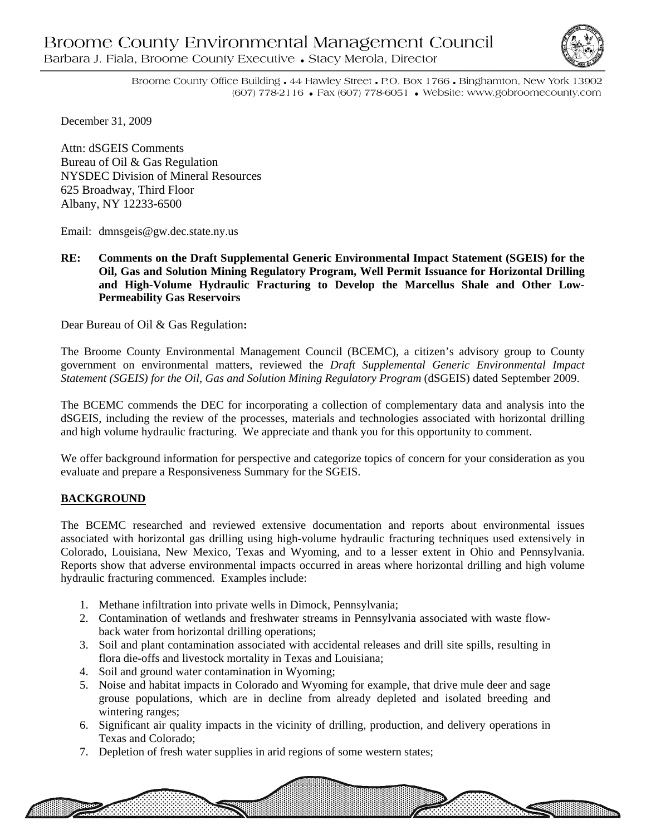

**THE SECTION AND SECTION** 

Broome County Office Building • 44 Hawley Street • P.O. Box 1766 • Binghamton, New York 13902 (607) 778-2116 • Fax (607) 778-6051 • Website: www.gobroomecounty.com

December 31, 2009

Attn: dSGEIS Comments Bureau of Oil & Gas Regulation NYSDEC Division of Mineral Resources 625 Broadway, Third Floor Albany, NY 12233-6500

Email: dmnsgeis@gw.dec.state.ny.us

**RE: Comments on the Draft Supplemental Generic Environmental Impact Statement (SGEIS) for the Oil, Gas and Solution Mining Regulatory Program, Well Permit Issuance for Horizontal Drilling and High-Volume Hydraulic Fracturing to Develop the Marcellus Shale and Other Low-Permeability Gas Reservoirs** 

Dear Bureau of Oil & Gas Regulation**:** 

The Broome County Environmental Management Council (BCEMC), a citizen's advisory group to County government on environmental matters, reviewed the *Draft Supplemental Generic Environmental Impact Statement (SGEIS) for the Oil, Gas and Solution Mining Regulatory Program* (dSGEIS) dated September 2009.

The BCEMC commends the DEC for incorporating a collection of complementary data and analysis into the dSGEIS, including the review of the processes, materials and technologies associated with horizontal drilling and high volume hydraulic fracturing. We appreciate and thank you for this opportunity to comment.

We offer background information for perspective and categorize topics of concern for your consideration as you evaluate and prepare a Responsiveness Summary for the SGEIS.

## **BACKGROUND**

The BCEMC researched and reviewed extensive documentation and reports about environmental issues associated with horizontal gas drilling using high-volume hydraulic fracturing techniques used extensively in Colorado, Louisiana, New Mexico, Texas and Wyoming, and to a lesser extent in Ohio and Pennsylvania. Reports show that adverse environmental impacts occurred in areas where horizontal drilling and high volume hydraulic fracturing commenced. Examples include:

- 1. Methane infiltration into private wells in Dimock, Pennsylvania;
- 2. Contamination of wetlands and freshwater streams in Pennsylvania associated with waste flowback water from horizontal drilling operations;
- 3. Soil and plant contamination associated with accidental releases and drill site spills, resulting in flora die-offs and livestock mortality in Texas and Louisiana;
- 4. Soil and ground water contamination in Wyoming;
- 5. Noise and habitat impacts in Colorado and Wyoming for example, that drive mule deer and sage grouse populations, which are in decline from already depleted and isolated breeding and wintering ranges;
- 6. Significant air quality impacts in the vicinity of drilling, production, and delivery operations in Texas and Colorado;
- 7. Depletion of fresh water supplies in arid regions of some western states;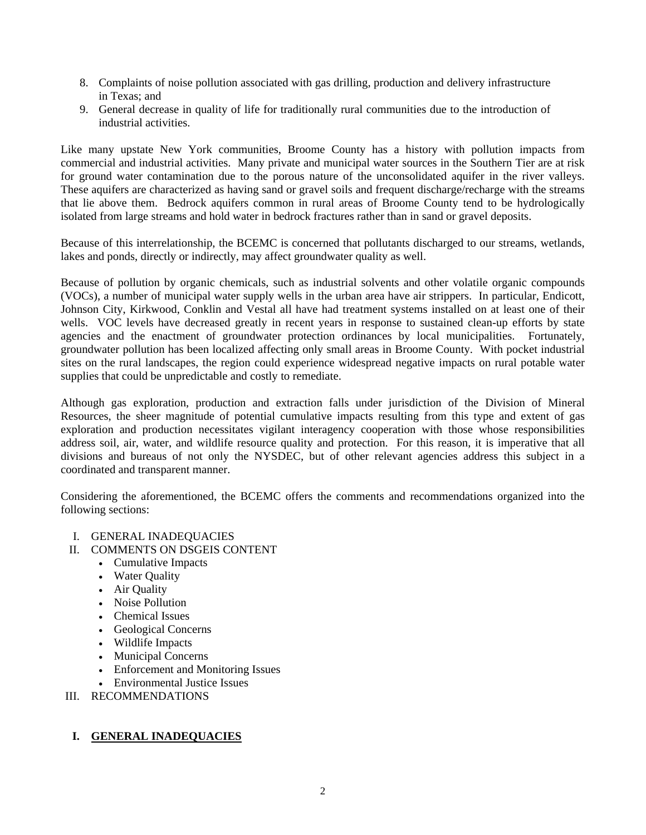- 8. Complaints of noise pollution associated with gas drilling, production and delivery infrastructure in Texas; and
- 9. General decrease in quality of life for traditionally rural communities due to the introduction of industrial activities.

Like many upstate New York communities, Broome County has a history with pollution impacts from commercial and industrial activities. Many private and municipal water sources in the Southern Tier are at risk for ground water contamination due to the porous nature of the unconsolidated aquifer in the river valleys. These aquifers are characterized as having sand or gravel soils and frequent discharge/recharge with the streams that lie above them. Bedrock aquifers common in rural areas of Broome County tend to be hydrologically isolated from large streams and hold water in bedrock fractures rather than in sand or gravel deposits.

Because of this interrelationship, the BCEMC is concerned that pollutants discharged to our streams, wetlands, lakes and ponds, directly or indirectly, may affect groundwater quality as well.

Because of pollution by organic chemicals, such as industrial solvents and other volatile organic compounds (VOCs), a number of municipal water supply wells in the urban area have air strippers. In particular, Endicott, Johnson City, Kirkwood, Conklin and Vestal all have had treatment systems installed on at least one of their wells. VOC levels have decreased greatly in recent years in response to sustained clean-up efforts by state agencies and the enactment of groundwater protection ordinances by local municipalities. Fortunately, groundwater pollution has been localized affecting only small areas in Broome County. With pocket industrial sites on the rural landscapes, the region could experience widespread negative impacts on rural potable water supplies that could be unpredictable and costly to remediate.

Although gas exploration, production and extraction falls under jurisdiction of the Division of Mineral Resources, the sheer magnitude of potential cumulative impacts resulting from this type and extent of gas exploration and production necessitates vigilant interagency cooperation with those whose responsibilities address soil, air, water, and wildlife resource quality and protection. For this reason, it is imperative that all divisions and bureaus of not only the NYSDEC, but of other relevant agencies address this subject in a coordinated and transparent manner.

Considering the aforementioned, the BCEMC offers the comments and recommendations organized into the following sections:

- I. GENERAL INADEQUACIES
- II. COMMENTS ON DSGEIS CONTENT
	- Cumulative Impacts
	- Water Quality
	- Air Quality
	- Noise Pollution
	- Chemical Issues
	- Geological Concerns
	- Wildlife Impacts
	- Municipal Concerns
	- Enforcement and Monitoring Issues
	- Environmental Justice Issues
- III. RECOMMENDATIONS

# **I. GENERAL INADEQUACIES**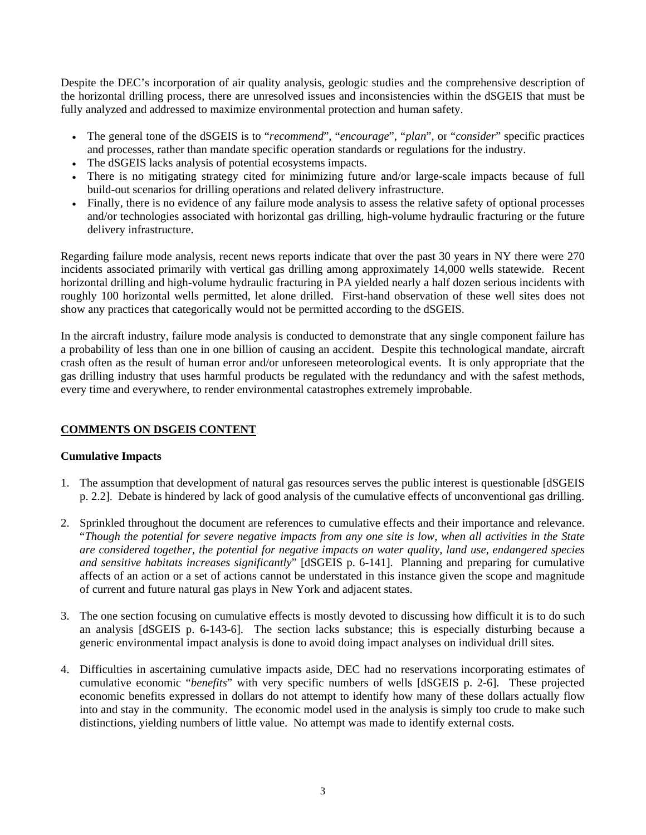Despite the DEC's incorporation of air quality analysis, geologic studies and the comprehensive description of the horizontal drilling process, there are unresolved issues and inconsistencies within the dSGEIS that must be fully analyzed and addressed to maximize environmental protection and human safety.

- The general tone of the dSGEIS is to "*recommend*", "*encourage*", "*plan*", or "*consider*" specific practices and processes, rather than mandate specific operation standards or regulations for the industry.
- The dSGEIS lacks analysis of potential ecosystems impacts.
- There is no mitigating strategy cited for minimizing future and/or large-scale impacts because of full build-out scenarios for drilling operations and related delivery infrastructure.
- Finally, there is no evidence of any failure mode analysis to assess the relative safety of optional processes and/or technologies associated with horizontal gas drilling, high-volume hydraulic fracturing or the future delivery infrastructure.

Regarding failure mode analysis, recent news reports indicate that over the past 30 years in NY there were 270 incidents associated primarily with vertical gas drilling among approximately 14,000 wells statewide. Recent horizontal drilling and high-volume hydraulic fracturing in PA yielded nearly a half dozen serious incidents with roughly 100 horizontal wells permitted, let alone drilled. First-hand observation of these well sites does not show any practices that categorically would not be permitted according to the dSGEIS.

In the aircraft industry, failure mode analysis is conducted to demonstrate that any single component failure has a probability of less than one in one billion of causing an accident. Despite this technological mandate, aircraft crash often as the result of human error and/or unforeseen meteorological events. It is only appropriate that the gas drilling industry that uses harmful products be regulated with the redundancy and with the safest methods, every time and everywhere, to render environmental catastrophes extremely improbable.

# **COMMENTS ON DSGEIS CONTENT**

## **Cumulative Impacts**

- 1. The assumption that development of natural gas resources serves the public interest is questionable [dSGEIS p. 2.2]. Debate is hindered by lack of good analysis of the cumulative effects of unconventional gas drilling.
- 2. Sprinkled throughout the document are references to cumulative effects and their importance and relevance. "*Though the potential for severe negative impacts from any one site is low, when all activities in the State are considered together, the potential for negative impacts on water quality, land use, endangered species and sensitive habitats increases significantly*" [dSGEIS p. 6-141]. Planning and preparing for cumulative affects of an action or a set of actions cannot be understated in this instance given the scope and magnitude of current and future natural gas plays in New York and adjacent states.
- 3. The one section focusing on cumulative effects is mostly devoted to discussing how difficult it is to do such an analysis [dSGEIS p. 6-143-6]. The section lacks substance; this is especially disturbing because a generic environmental impact analysis is done to avoid doing impact analyses on individual drill sites.
- 4. Difficulties in ascertaining cumulative impacts aside, DEC had no reservations incorporating estimates of cumulative economic "*benefits*" with very specific numbers of wells [dSGEIS p. 2-6]. These projected economic benefits expressed in dollars do not attempt to identify how many of these dollars actually flow into and stay in the community. The economic model used in the analysis is simply too crude to make such distinctions, yielding numbers of little value. No attempt was made to identify external costs.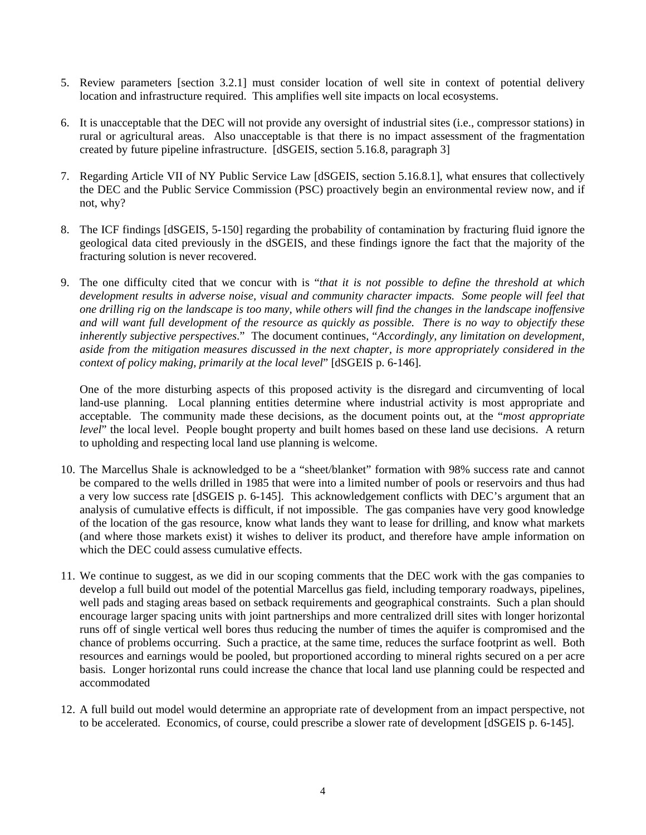- 5. Review parameters [section 3.2.1] must consider location of well site in context of potential delivery location and infrastructure required. This amplifies well site impacts on local ecosystems.
- 6. It is unacceptable that the DEC will not provide any oversight of industrial sites (i.e., compressor stations) in rural or agricultural areas. Also unacceptable is that there is no impact assessment of the fragmentation created by future pipeline infrastructure. [dSGEIS, section 5.16.8, paragraph 3]
- 7. Regarding Article VII of NY Public Service Law [dSGEIS, section 5.16.8.1], what ensures that collectively the DEC and the Public Service Commission (PSC) proactively begin an environmental review now, and if not, why?
- 8. The ICF findings [dSGEIS, 5-150] regarding the probability of contamination by fracturing fluid ignore the geological data cited previously in the dSGEIS, and these findings ignore the fact that the majority of the fracturing solution is never recovered.
- 9. The one difficulty cited that we concur with is "*that it is not possible to define the threshold at which development results in adverse noise, visual and community character impacts. Some people will feel that one drilling rig on the landscape is too many, while others will find the changes in the landscape inoffensive and will want full development of the resource as quickly as possible. There is no way to objectify these inherently subjective perspectives*." The document continues, "*Accordingly, any limitation on development, aside from the mitigation measures discussed in the next chapter, is more appropriately considered in the context of policy making, primarily at the local level*" [dSGEIS p. 6-146].

One of the more disturbing aspects of this proposed activity is the disregard and circumventing of local land-use planning. Local planning entities determine where industrial activity is most appropriate and acceptable. The community made these decisions, as the document points out, at the "*most appropriate level*" the local level. People bought property and built homes based on these land use decisions. A return to upholding and respecting local land use planning is welcome.

- 10. The Marcellus Shale is acknowledged to be a "sheet/blanket" formation with 98% success rate and cannot be compared to the wells drilled in 1985 that were into a limited number of pools or reservoirs and thus had a very low success rate [dSGEIS p. 6-145]. This acknowledgement conflicts with DEC's argument that an analysis of cumulative effects is difficult, if not impossible. The gas companies have very good knowledge of the location of the gas resource, know what lands they want to lease for drilling, and know what markets (and where those markets exist) it wishes to deliver its product, and therefore have ample information on which the DEC could assess cumulative effects.
- 11. We continue to suggest, as we did in our scoping comments that the DEC work with the gas companies to develop a full build out model of the potential Marcellus gas field, including temporary roadways, pipelines, well pads and staging areas based on setback requirements and geographical constraints. Such a plan should encourage larger spacing units with joint partnerships and more centralized drill sites with longer horizontal runs off of single vertical well bores thus reducing the number of times the aquifer is compromised and the chance of problems occurring. Such a practice, at the same time, reduces the surface footprint as well. Both resources and earnings would be pooled, but proportioned according to mineral rights secured on a per acre basis. Longer horizontal runs could increase the chance that local land use planning could be respected and accommodated
- 12. A full build out model would determine an appropriate rate of development from an impact perspective, not to be accelerated. Economics, of course, could prescribe a slower rate of development [dSGEIS p. 6-145].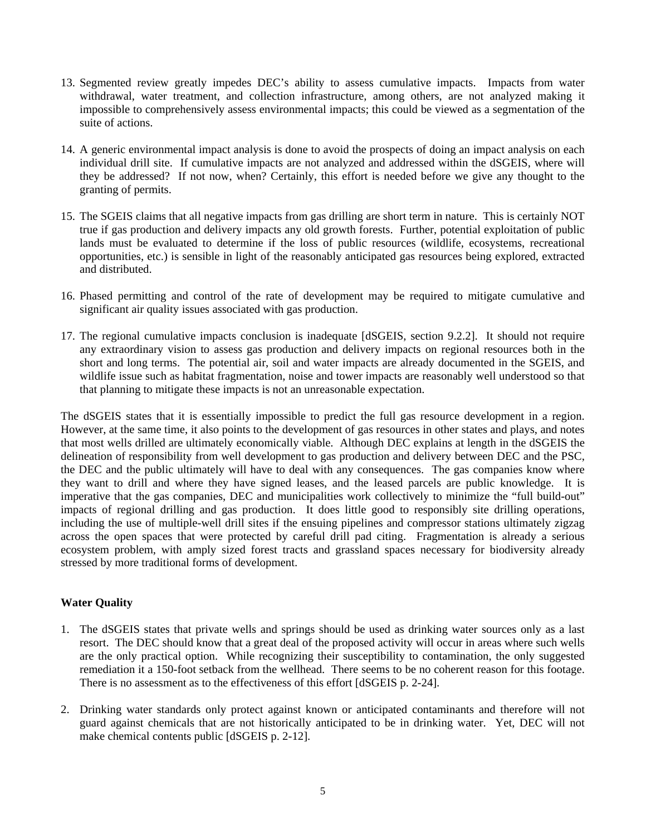- 13. Segmented review greatly impedes DEC's ability to assess cumulative impacts. Impacts from water withdrawal, water treatment, and collection infrastructure, among others, are not analyzed making it impossible to comprehensively assess environmental impacts; this could be viewed as a segmentation of the suite of actions.
- 14. A generic environmental impact analysis is done to avoid the prospects of doing an impact analysis on each individual drill site. If cumulative impacts are not analyzed and addressed within the dSGEIS, where will they be addressed? If not now, when? Certainly, this effort is needed before we give any thought to the granting of permits.
- 15. The SGEIS claims that all negative impacts from gas drilling are short term in nature. This is certainly NOT true if gas production and delivery impacts any old growth forests. Further, potential exploitation of public lands must be evaluated to determine if the loss of public resources (wildlife, ecosystems, recreational opportunities, etc.) is sensible in light of the reasonably anticipated gas resources being explored, extracted and distributed.
- 16. Phased permitting and control of the rate of development may be required to mitigate cumulative and significant air quality issues associated with gas production.
- 17. The regional cumulative impacts conclusion is inadequate [dSGEIS, section 9.2.2]. It should not require any extraordinary vision to assess gas production and delivery impacts on regional resources both in the short and long terms. The potential air, soil and water impacts are already documented in the SGEIS, and wildlife issue such as habitat fragmentation, noise and tower impacts are reasonably well understood so that that planning to mitigate these impacts is not an unreasonable expectation.

The dSGEIS states that it is essentially impossible to predict the full gas resource development in a region. However, at the same time, it also points to the development of gas resources in other states and plays, and notes that most wells drilled are ultimately economically viable. Although DEC explains at length in the dSGEIS the delineation of responsibility from well development to gas production and delivery between DEC and the PSC, the DEC and the public ultimately will have to deal with any consequences. The gas companies know where they want to drill and where they have signed leases, and the leased parcels are public knowledge. It is imperative that the gas companies, DEC and municipalities work collectively to minimize the "full build-out" impacts of regional drilling and gas production. It does little good to responsibly site drilling operations, including the use of multiple-well drill sites if the ensuing pipelines and compressor stations ultimately zigzag across the open spaces that were protected by careful drill pad citing. Fragmentation is already a serious ecosystem problem, with amply sized forest tracts and grassland spaces necessary for biodiversity already stressed by more traditional forms of development.

## **Water Quality**

- 1. The dSGEIS states that private wells and springs should be used as drinking water sources only as a last resort. The DEC should know that a great deal of the proposed activity will occur in areas where such wells are the only practical option. While recognizing their susceptibility to contamination, the only suggested remediation it a 150-foot setback from the wellhead. There seems to be no coherent reason for this footage. There is no assessment as to the effectiveness of this effort [dSGEIS p. 2-24].
- 2. Drinking water standards only protect against known or anticipated contaminants and therefore will not guard against chemicals that are not historically anticipated to be in drinking water. Yet, DEC will not make chemical contents public [dSGEIS p. 2-12].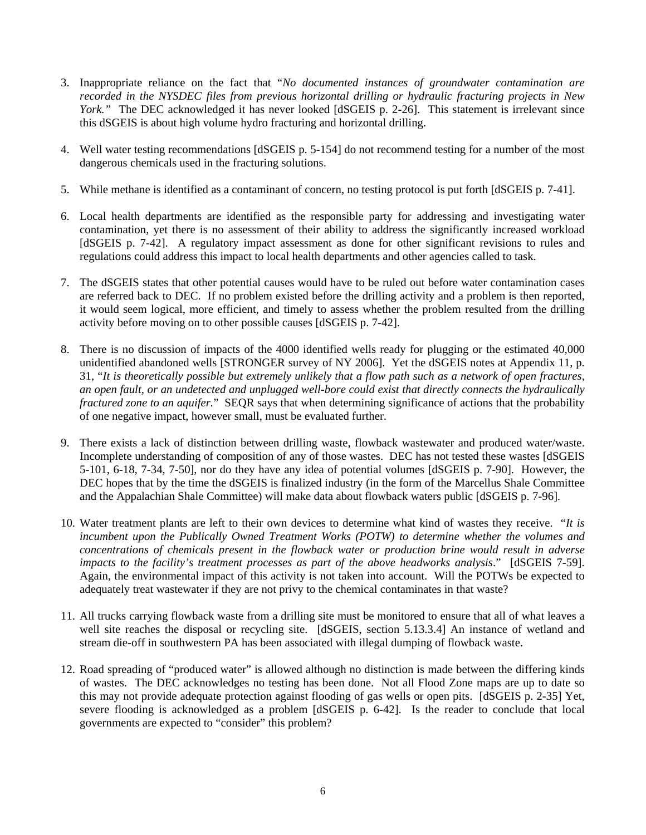- 3. Inappropriate reliance on the fact that "*No documented instances of groundwater contamination are recorded in the NYSDEC files from previous horizontal drilling or hydraulic fracturing projects in New York.*" The DEC acknowledged it has never looked [dSGEIS p. 2-26]. This statement is irrelevant since this dSGEIS is about high volume hydro fracturing and horizontal drilling.
- 4. Well water testing recommendations [dSGEIS p. 5-154] do not recommend testing for a number of the most dangerous chemicals used in the fracturing solutions.
- 5. While methane is identified as a contaminant of concern, no testing protocol is put forth [dSGEIS p. 7-41].
- 6. Local health departments are identified as the responsible party for addressing and investigating water contamination, yet there is no assessment of their ability to address the significantly increased workload [dSGEIS p. 7-42]. A regulatory impact assessment as done for other significant revisions to rules and regulations could address this impact to local health departments and other agencies called to task.
- 7. The dSGEIS states that other potential causes would have to be ruled out before water contamination cases are referred back to DEC. If no problem existed before the drilling activity and a problem is then reported, it would seem logical, more efficient, and timely to assess whether the problem resulted from the drilling activity before moving on to other possible causes [dSGEIS p. 7-42].
- 8. There is no discussion of impacts of the 4000 identified wells ready for plugging or the estimated 40,000 unidentified abandoned wells [STRONGER survey of NY 2006]. Yet the dSGEIS notes at Appendix 11, p. 31, "*It is theoretically possible but extremely unlikely that a flow path such as a network of open fractures, an open fault, or an undetected and unplugged well-bore could exist that directly connects the hydraulically fractured zone to an aquifer.*" SEQR says that when determining significance of actions that the probability of one negative impact, however small, must be evaluated further.
- 9. There exists a lack of distinction between drilling waste, flowback wastewater and produced water/waste. Incomplete understanding of composition of any of those wastes. DEC has not tested these wastes [dSGEIS 5-101, 6-18, 7-34, 7-50], nor do they have any idea of potential volumes [dSGEIS p. 7-90]. However, the DEC hopes that by the time the dSGEIS is finalized industry (in the form of the Marcellus Shale Committee and the Appalachian Shale Committee) will make data about flowback waters public [dSGEIS p. 7-96].
- 10. Water treatment plants are left to their own devices to determine what kind of wastes they receive. "*It is incumbent upon the Publically Owned Treatment Works (POTW) to determine whether the volumes and concentrations of chemicals present in the flowback water or production brine would result in adverse impacts to the facility's treatment processes as part of the above headworks analysis*." [dSGEIS 7-59]. Again, the environmental impact of this activity is not taken into account. Will the POTWs be expected to adequately treat wastewater if they are not privy to the chemical contaminates in that waste?
- 11. All trucks carrying flowback waste from a drilling site must be monitored to ensure that all of what leaves a well site reaches the disposal or recycling site. [dSGEIS, section 5.13.3.4] An instance of wetland and stream die-off in southwestern PA has been associated with illegal dumping of flowback waste.
- 12. Road spreading of "produced water" is allowed although no distinction is made between the differing kinds of wastes. The DEC acknowledges no testing has been done. Not all Flood Zone maps are up to date so this may not provide adequate protection against flooding of gas wells or open pits. [dSGEIS p. 2-35] Yet, severe flooding is acknowledged as a problem [dSGEIS p. 6-42]. Is the reader to conclude that local governments are expected to "consider" this problem?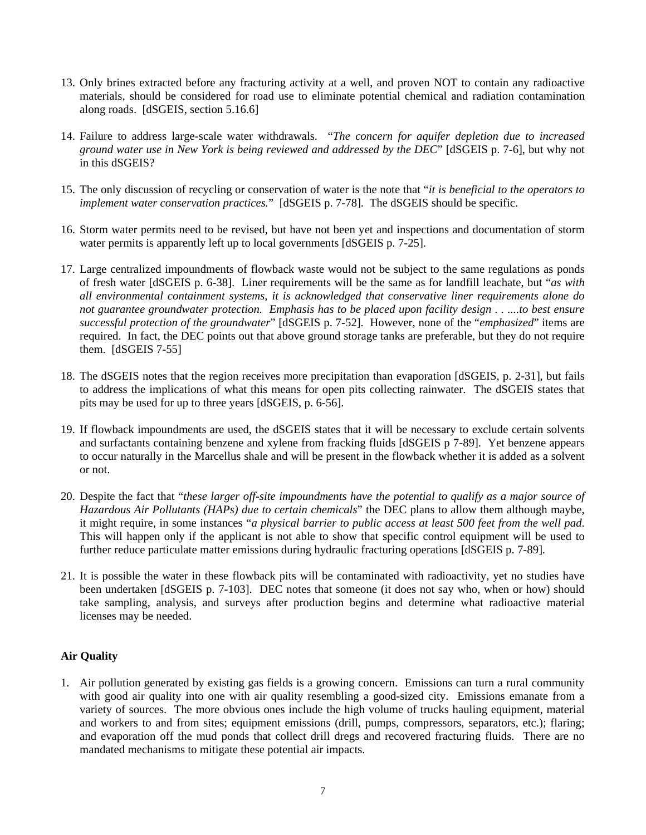- 13. Only brines extracted before any fracturing activity at a well, and proven NOT to contain any radioactive materials, should be considered for road use to eliminate potential chemical and radiation contamination along roads. [dSGEIS, section 5.16.6]
- 14. Failure to address large-scale water withdrawals. "*The concern for aquifer depletion due to increased ground water use in New York is being reviewed and addressed by the DEC*" [dSGEIS p. 7-6], but why not in this dSGEIS?
- 15. The only discussion of recycling or conservation of water is the note that "*it is beneficial to the operators to implement water conservation practices.*" [dSGEIS p. 7-78]. The dSGEIS should be specific.
- 16. Storm water permits need to be revised, but have not been yet and inspections and documentation of storm water permits is apparently left up to local governments [dSGEIS p. 7-25].
- 17. Large centralized impoundments of flowback waste would not be subject to the same regulations as ponds of fresh water [dSGEIS p. 6-38]. Liner requirements will be the same as for landfill leachate, but "*as with all environmental containment systems, it is acknowledged that conservative liner requirements alone do not guarantee groundwater protection. Emphasis has to be placed upon facility design . . ....to best ensure successful protection of the groundwater*" [dSGEIS p. 7-52]. However, none of the "*emphasized*" items are required. In fact, the DEC points out that above ground storage tanks are preferable, but they do not require them. [dSGEIS 7-55]
- 18. The dSGEIS notes that the region receives more precipitation than evaporation [dSGEIS, p. 2-31], but fails to address the implications of what this means for open pits collecting rainwater. The dSGEIS states that pits may be used for up to three years [dSGEIS, p. 6-56].
- 19. If flowback impoundments are used, the dSGEIS states that it will be necessary to exclude certain solvents and surfactants containing benzene and xylene from fracking fluids [dSGEIS p 7-89]. Yet benzene appears to occur naturally in the Marcellus shale and will be present in the flowback whether it is added as a solvent or not.
- 20. Despite the fact that "*these larger off-site impoundments have the potential to qualify as a major source of Hazardous Air Pollutants (HAPs) due to certain chemicals*" the DEC plans to allow them although maybe, it might require, in some instances "*a physical barrier to public access at least 500 feet from the well pad*. This will happen only if the applicant is not able to show that specific control equipment will be used to further reduce particulate matter emissions during hydraulic fracturing operations [dSGEIS p. 7-89].
- 21. It is possible the water in these flowback pits will be contaminated with radioactivity, yet no studies have been undertaken [dSGEIS p. 7-103]. DEC notes that someone (it does not say who, when or how) should take sampling, analysis, and surveys after production begins and determine what radioactive material licenses may be needed.

## **Air Quality**

1. Air pollution generated by existing gas fields is a growing concern. Emissions can turn a rural community with good air quality into one with air quality resembling a good-sized city. Emissions emanate from a variety of sources. The more obvious ones include the high volume of trucks hauling equipment, material and workers to and from sites; equipment emissions (drill, pumps, compressors, separators, etc.); flaring; and evaporation off the mud ponds that collect drill dregs and recovered fracturing fluids. There are no mandated mechanisms to mitigate these potential air impacts.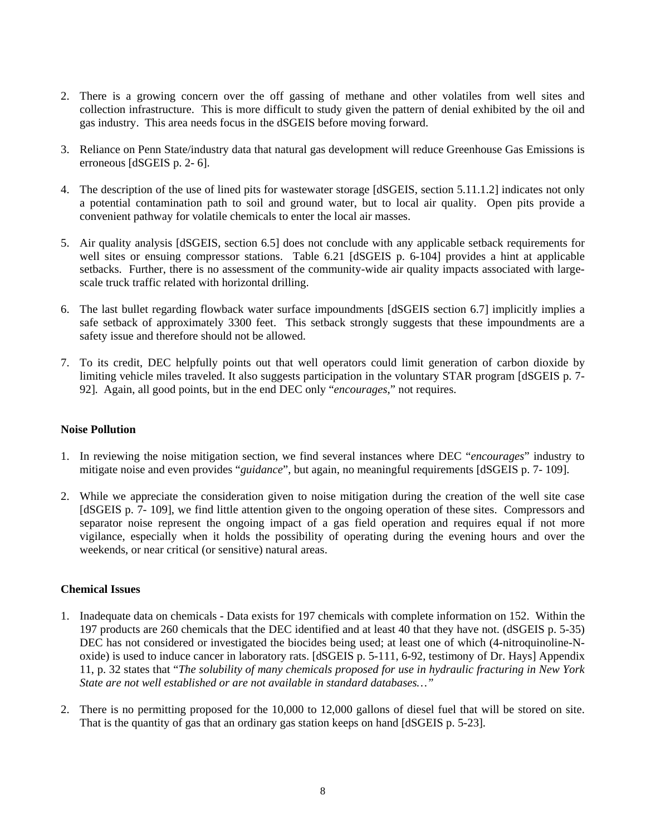- 2. There is a growing concern over the off gassing of methane and other volatiles from well sites and collection infrastructure. This is more difficult to study given the pattern of denial exhibited by the oil and gas industry. This area needs focus in the dSGEIS before moving forward.
- 3. Reliance on Penn State/industry data that natural gas development will reduce Greenhouse Gas Emissions is erroneous [dSGEIS p. 2- 6].
- 4. The description of the use of lined pits for wastewater storage [dSGEIS, section 5.11.1.2] indicates not only a potential contamination path to soil and ground water, but to local air quality. Open pits provide a convenient pathway for volatile chemicals to enter the local air masses.
- 5. Air quality analysis [dSGEIS, section 6.5] does not conclude with any applicable setback requirements for well sites or ensuing compressor stations. Table 6.21 [dSGEIS p. 6-104] provides a hint at applicable setbacks. Further, there is no assessment of the community-wide air quality impacts associated with largescale truck traffic related with horizontal drilling.
- 6. The last bullet regarding flowback water surface impoundments [dSGEIS section 6.7] implicitly implies a safe setback of approximately 3300 feet. This setback strongly suggests that these impoundments are a safety issue and therefore should not be allowed.
- 7. To its credit, DEC helpfully points out that well operators could limit generation of carbon dioxide by limiting vehicle miles traveled. It also suggests participation in the voluntary STAR program [dSGEIS p. 7- 92]. Again, all good points, but in the end DEC only "*encourages*," not requires.

## **Noise Pollution**

- 1. In reviewing the noise mitigation section, we find several instances where DEC "*encourages*" industry to mitigate noise and even provides "*guidance*", but again, no meaningful requirements [dSGEIS p. 7- 109].
- 2. While we appreciate the consideration given to noise mitigation during the creation of the well site case [dSGEIS p. 7- 109], we find little attention given to the ongoing operation of these sites. Compressors and separator noise represent the ongoing impact of a gas field operation and requires equal if not more vigilance, especially when it holds the possibility of operating during the evening hours and over the weekends, or near critical (or sensitive) natural areas.

## **Chemical Issues**

- 1. Inadequate data on chemicals Data exists for 197 chemicals with complete information on 152. Within the 197 products are 260 chemicals that the DEC identified and at least 40 that they have not. (dSGEIS p. 5-35) DEC has not considered or investigated the biocides being used; at least one of which (4-nitroquinoline-Noxide) is used to induce cancer in laboratory rats. [dSGEIS p. 5-111, 6-92, testimony of Dr. Hays] Appendix 11, p. 32 states that "*The solubility of many chemicals proposed for use in hydraulic fracturing in New York State are not well established or are not available in standard databases…"*
- 2. There is no permitting proposed for the 10,000 to 12,000 gallons of diesel fuel that will be stored on site. That is the quantity of gas that an ordinary gas station keeps on hand [dSGEIS p. 5-23].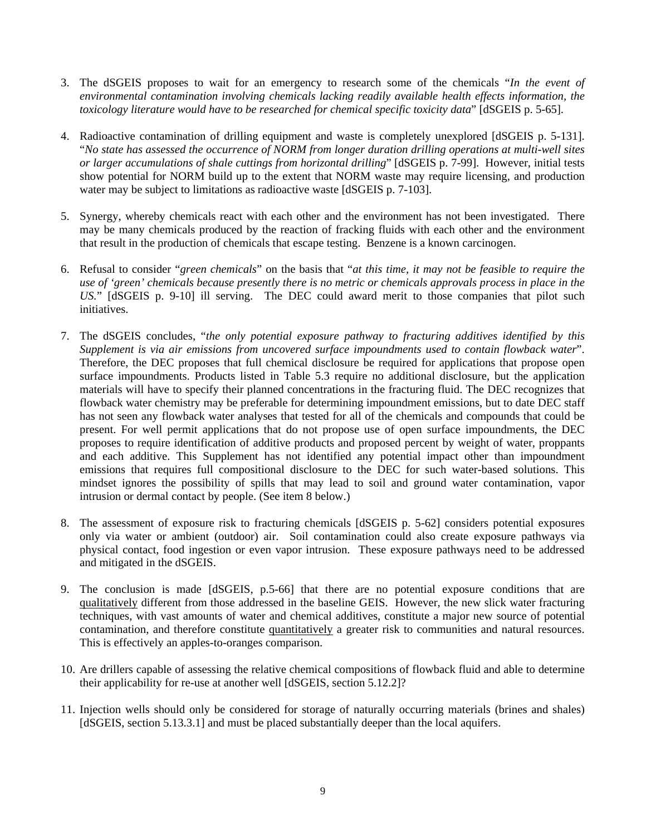- 3. The dSGEIS proposes to wait for an emergency to research some of the chemicals "*In the event of environmental contamination involving chemicals lacking readily available health effects information, the toxicology literature would have to be researched for chemical specific toxicity data*" [dSGEIS p. 5-65].
- 4. Radioactive contamination of drilling equipment and waste is completely unexplored [dSGEIS p. 5-131]. "*No state has assessed the occurrence of NORM from longer duration drilling operations at multi-well sites or larger accumulations of shale cuttings from horizontal drilling*" [dSGEIS p. 7-99]. However, initial tests show potential for NORM build up to the extent that NORM waste may require licensing, and production water may be subject to limitations as radioactive waste [dSGEIS p. 7-103].
- 5. Synergy, whereby chemicals react with each other and the environment has not been investigated. There may be many chemicals produced by the reaction of fracking fluids with each other and the environment that result in the production of chemicals that escape testing. Benzene is a known carcinogen.
- 6. Refusal to consider "*green chemicals*" on the basis that "*at this time, it may not be feasible to require the use of 'green' chemicals because presently there is no metric or chemicals approvals process in place in the US.*" [dSGEIS p. 9-10] ill serving. The DEC could award merit to those companies that pilot such initiatives.
- 7. The dSGEIS concludes, "*the only potential exposure pathway to fracturing additives identified by this Supplement is via air emissions from uncovered surface impoundments used to contain flowback water*". Therefore, the DEC proposes that full chemical disclosure be required for applications that propose open surface impoundments. Products listed in Table 5.3 require no additional disclosure, but the application materials will have to specify their planned concentrations in the fracturing fluid. The DEC recognizes that flowback water chemistry may be preferable for determining impoundment emissions, but to date DEC staff has not seen any flowback water analyses that tested for all of the chemicals and compounds that could be present. For well permit applications that do not propose use of open surface impoundments, the DEC proposes to require identification of additive products and proposed percent by weight of water, proppants and each additive. This Supplement has not identified any potential impact other than impoundment emissions that requires full compositional disclosure to the DEC for such water-based solutions. This mindset ignores the possibility of spills that may lead to soil and ground water contamination, vapor intrusion or dermal contact by people. (See item 8 below.)
- 8. The assessment of exposure risk to fracturing chemicals [dSGEIS p. 5-62] considers potential exposures only via water or ambient (outdoor) air. Soil contamination could also create exposure pathways via physical contact, food ingestion or even vapor intrusion. These exposure pathways need to be addressed and mitigated in the dSGEIS.
- 9. The conclusion is made [dSGEIS, p.5-66] that there are no potential exposure conditions that are qualitatively different from those addressed in the baseline GEIS. However, the new slick water fracturing techniques, with vast amounts of water and chemical additives, constitute a major new source of potential contamination, and therefore constitute quantitatively a greater risk to communities and natural resources. This is effectively an apples-to-oranges comparison.
- 10. Are drillers capable of assessing the relative chemical compositions of flowback fluid and able to determine their applicability for re-use at another well [dSGEIS, section 5.12.2]?
- 11. Injection wells should only be considered for storage of naturally occurring materials (brines and shales) [dSGEIS, section 5.13.3.1] and must be placed substantially deeper than the local aquifers.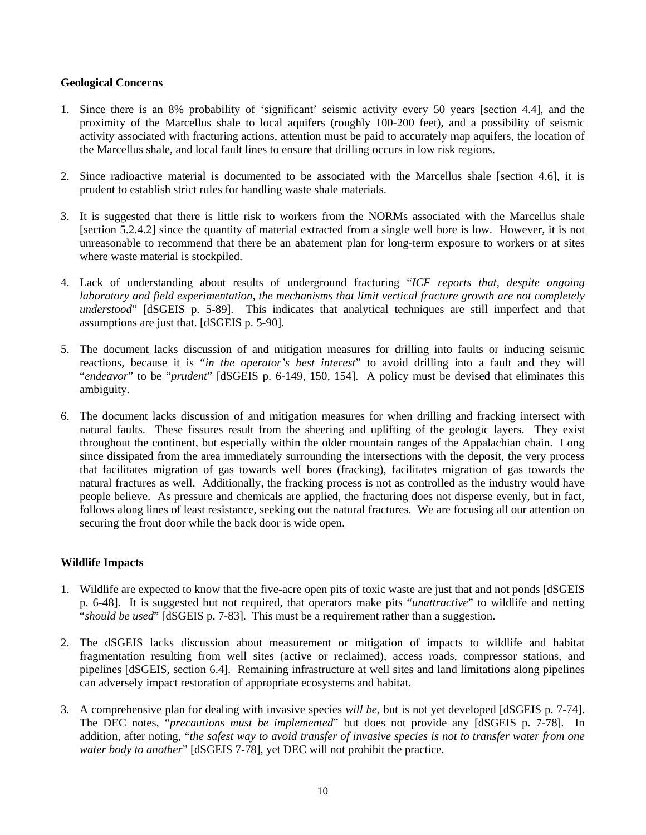#### **Geological Concerns**

- 1. Since there is an 8% probability of 'significant' seismic activity every 50 years [section 4.4], and the proximity of the Marcellus shale to local aquifers (roughly 100-200 feet), and a possibility of seismic activity associated with fracturing actions, attention must be paid to accurately map aquifers, the location of the Marcellus shale, and local fault lines to ensure that drilling occurs in low risk regions.
- 2. Since radioactive material is documented to be associated with the Marcellus shale [section 4.6], it is prudent to establish strict rules for handling waste shale materials.
- 3. It is suggested that there is little risk to workers from the NORMs associated with the Marcellus shale [section 5.2.4.2] since the quantity of material extracted from a single well bore is low. However, it is not unreasonable to recommend that there be an abatement plan for long-term exposure to workers or at sites where waste material is stockpiled.
- 4. Lack of understanding about results of underground fracturing "*ICF reports that, despite ongoing laboratory and field experimentation, the mechanisms that limit vertical fracture growth are not completely understood*" [dSGEIS p. 5-89]. This indicates that analytical techniques are still imperfect and that assumptions are just that. [dSGEIS p. 5-90].
- 5. The document lacks discussion of and mitigation measures for drilling into faults or inducing seismic reactions, because it is "*in the operator's best interest*" to avoid drilling into a fault and they will "*endeavor*" to be "*prudent*" [dSGEIS p. 6-149, 150, 154]. A policy must be devised that eliminates this ambiguity.
- 6. The document lacks discussion of and mitigation measures for when drilling and fracking intersect with natural faults. These fissures result from the sheering and uplifting of the geologic layers. They exist throughout the continent, but especially within the older mountain ranges of the Appalachian chain. Long since dissipated from the area immediately surrounding the intersections with the deposit, the very process that facilitates migration of gas towards well bores (fracking), facilitates migration of gas towards the natural fractures as well. Additionally, the fracking process is not as controlled as the industry would have people believe. As pressure and chemicals are applied, the fracturing does not disperse evenly, but in fact, follows along lines of least resistance, seeking out the natural fractures. We are focusing all our attention on securing the front door while the back door is wide open.

## **Wildlife Impacts**

- 1. Wildlife are expected to know that the five-acre open pits of toxic waste are just that and not ponds [dSGEIS p. 6-48]. It is suggested but not required, that operators make pits "*unattractive*" to wildlife and netting "*should be used*" [dSGEIS p. 7-83]. This must be a requirement rather than a suggestion.
- 2. The dSGEIS lacks discussion about measurement or mitigation of impacts to wildlife and habitat fragmentation resulting from well sites (active or reclaimed), access roads, compressor stations, and pipelines [dSGEIS, section 6.4]. Remaining infrastructure at well sites and land limitations along pipelines can adversely impact restoration of appropriate ecosystems and habitat.
- 3. A comprehensive plan for dealing with invasive species *will be,* but is not yet developed [dSGEIS p. 7-74]. The DEC notes, "*precautions must be implemented*" but does not provide any [dSGEIS p. 7-78]. In addition, after noting, "*the safest way to avoid transfer of invasive species is not to transfer water from one water body to another*" [dSGEIS 7-78], yet DEC will not prohibit the practice.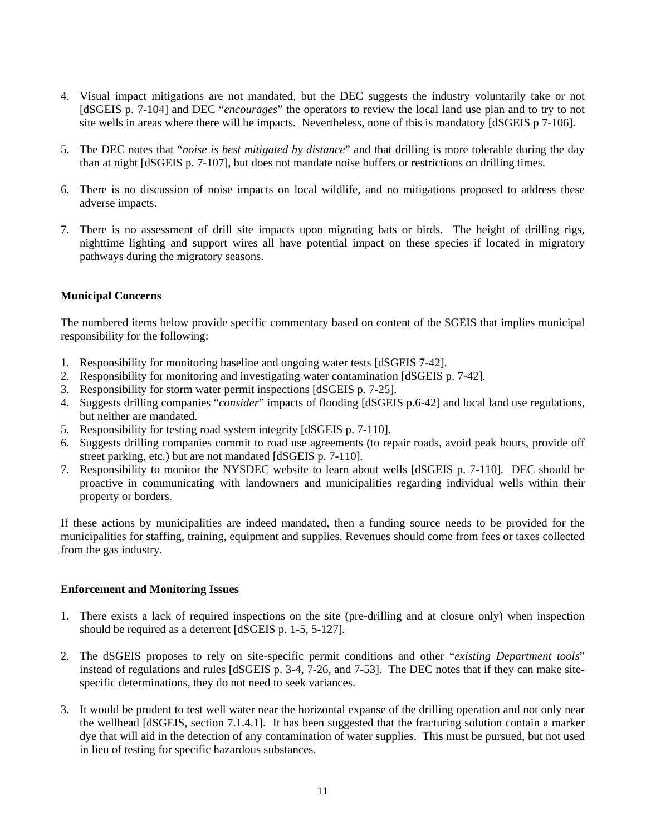- 4. Visual impact mitigations are not mandated, but the DEC suggests the industry voluntarily take or not [dSGEIS p. 7-104] and DEC "*encourages*" the operators to review the local land use plan and to try to not site wells in areas where there will be impacts. Nevertheless, none of this is mandatory [dSGEIS p 7-106].
- 5. The DEC notes that "*noise is best mitigated by distance*" and that drilling is more tolerable during the day than at night [dSGEIS p. 7-107], but does not mandate noise buffers or restrictions on drilling times.
- 6. There is no discussion of noise impacts on local wildlife, and no mitigations proposed to address these adverse impacts.
- 7. There is no assessment of drill site impacts upon migrating bats or birds. The height of drilling rigs, nighttime lighting and support wires all have potential impact on these species if located in migratory pathways during the migratory seasons.

## **Municipal Concerns**

The numbered items below provide specific commentary based on content of the SGEIS that implies municipal responsibility for the following:

- 1. Responsibility for monitoring baseline and ongoing water tests [dSGEIS 7-42].
- 2. Responsibility for monitoring and investigating water contamination [dSGEIS p. 7-42].
- 3. Responsibility for storm water permit inspections [dSGEIS p. 7-25].
- 4. Suggests drilling companies "*consider*" impacts of flooding [dSGEIS p.6-42] and local land use regulations, but neither are mandated.
- 5. Responsibility for testing road system integrity [dSGEIS p. 7-110].
- 6. Suggests drilling companies commit to road use agreements (to repair roads, avoid peak hours, provide off street parking, etc.) but are not mandated [dSGEIS p. 7-110].
- 7. Responsibility to monitor the NYSDEC website to learn about wells [dSGEIS p. 7-110]. DEC should be proactive in communicating with landowners and municipalities regarding individual wells within their property or borders.

If these actions by municipalities are indeed mandated, then a funding source needs to be provided for the municipalities for staffing, training, equipment and supplies. Revenues should come from fees or taxes collected from the gas industry.

## **Enforcement and Monitoring Issues**

- 1. There exists a lack of required inspections on the site (pre-drilling and at closure only) when inspection should be required as a deterrent [dSGEIS p. 1-5, 5-127].
- 2. The dSGEIS proposes to rely on site-specific permit conditions and other "*existing Department tools*" instead of regulations and rules [dSGEIS p. 3-4, 7-26, and 7-53]. The DEC notes that if they can make sitespecific determinations, they do not need to seek variances.
- 3. It would be prudent to test well water near the horizontal expanse of the drilling operation and not only near the wellhead [dSGEIS, section 7.1.4.1]. It has been suggested that the fracturing solution contain a marker dye that will aid in the detection of any contamination of water supplies. This must be pursued, but not used in lieu of testing for specific hazardous substances.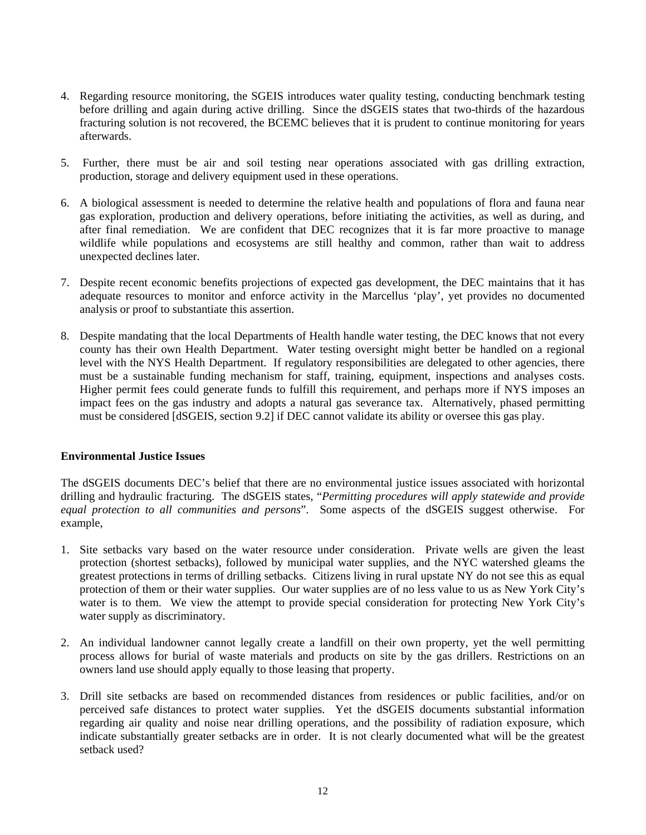- 4. Regarding resource monitoring, the SGEIS introduces water quality testing, conducting benchmark testing before drilling and again during active drilling. Since the dSGEIS states that two-thirds of the hazardous fracturing solution is not recovered, the BCEMC believes that it is prudent to continue monitoring for years afterwards.
- 5. Further, there must be air and soil testing near operations associated with gas drilling extraction, production, storage and delivery equipment used in these operations.
- 6. A biological assessment is needed to determine the relative health and populations of flora and fauna near gas exploration, production and delivery operations, before initiating the activities, as well as during, and after final remediation. We are confident that DEC recognizes that it is far more proactive to manage wildlife while populations and ecosystems are still healthy and common, rather than wait to address unexpected declines later.
- 7. Despite recent economic benefits projections of expected gas development, the DEC maintains that it has adequate resources to monitor and enforce activity in the Marcellus 'play', yet provides no documented analysis or proof to substantiate this assertion.
- 8. Despite mandating that the local Departments of Health handle water testing, the DEC knows that not every county has their own Health Department. Water testing oversight might better be handled on a regional level with the NYS Health Department. If regulatory responsibilities are delegated to other agencies, there must be a sustainable funding mechanism for staff, training, equipment, inspections and analyses costs. Higher permit fees could generate funds to fulfill this requirement, and perhaps more if NYS imposes an impact fees on the gas industry and adopts a natural gas severance tax. Alternatively, phased permitting must be considered [dSGEIS, section 9.2] if DEC cannot validate its ability or oversee this gas play.

## **Environmental Justice Issues**

The dSGEIS documents DEC's belief that there are no environmental justice issues associated with horizontal drilling and hydraulic fracturing. The dSGEIS states, "*Permitting procedures will apply statewide and provide equal protection to all communities and persons*". Some aspects of the dSGEIS suggest otherwise. For example,

- 1. Site setbacks vary based on the water resource under consideration. Private wells are given the least protection (shortest setbacks), followed by municipal water supplies, and the NYC watershed gleams the greatest protections in terms of drilling setbacks. Citizens living in rural upstate NY do not see this as equal protection of them or their water supplies. Our water supplies are of no less value to us as New York City's water is to them. We view the attempt to provide special consideration for protecting New York City's water supply as discriminatory.
- 2. An individual landowner cannot legally create a landfill on their own property, yet the well permitting process allows for burial of waste materials and products on site by the gas drillers. Restrictions on an owners land use should apply equally to those leasing that property.
- 3. Drill site setbacks are based on recommended distances from residences or public facilities, and/or on perceived safe distances to protect water supplies. Yet the dSGEIS documents substantial information regarding air quality and noise near drilling operations, and the possibility of radiation exposure, which indicate substantially greater setbacks are in order. It is not clearly documented what will be the greatest setback used?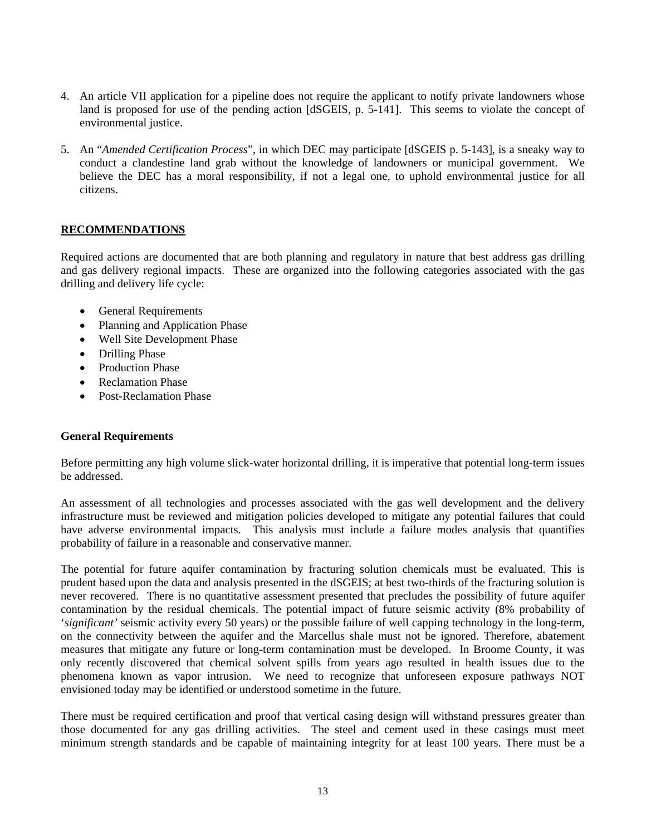- 4. An article VII application for a pipeline does not require the applicant to notify private landowners whose land is proposed for use of the pending action [dSGEIS, p. 5-141]. This seems to violate the concept of environmental justice.
- 5. An "*Amended Certification Process*", in which DEC may participate [dSGEIS p. 5-143], is a sneaky way to conduct a clandestine land grab without the knowledge of landowners or municipal government. We believe the DEC has a moral responsibility, if not a legal one, to uphold environmental justice for all citizens.

# **RECOMMENDATIONS**

Required actions are documented that are both planning and regulatory in nature that best address gas drilling and gas delivery regional impacts. These are organized into the following categories associated with the gas drilling and delivery life cycle:

- General Requirements
- Planning and Application Phase
- Well Site Development Phase
- Drilling Phase
- Production Phase
- Reclamation Phase
- Post-Reclamation Phase

## **General Requirements**

Before permitting any high volume slick-water horizontal drilling, it is imperative that potential long-term issues be addressed.

An assessment of all technologies and processes associated with the gas well development and the delivery infrastructure must be reviewed and mitigation policies developed to mitigate any potential failures that could have adverse environmental impacts. This analysis must include a failure modes analysis that quantifies probability of failure in a reasonable and conservative manner.

The potential for future aquifer contamination by fracturing solution chemicals must be evaluated. This is prudent based upon the data and analysis presented in the dSGEIS; at best two-thirds of the fracturing solution is never recovered. There is no quantitative assessment presented that precludes the possibility of future aquifer contamination by the residual chemicals. The potential impact of future seismic activity (8% probability of '*significant'* seismic activity every 50 years) or the possible failure of well capping technology in the long-term, on the connectivity between the aquifer and the Marcellus shale must not be ignored. Therefore, abatement measures that mitigate any future or long-term contamination must be developed. In Broome County, it was only recently discovered that chemical solvent spills from years ago resulted in health issues due to the phenomena known as vapor intrusion. We need to recognize that unforeseen exposure pathways NOT envisioned today may be identified or understood sometime in the future.

There must be required certification and proof that vertical casing design will withstand pressures greater than those documented for any gas drilling activities. The steel and cement used in these casings must meet minimum strength standards and be capable of maintaining integrity for at least 100 years. There must be a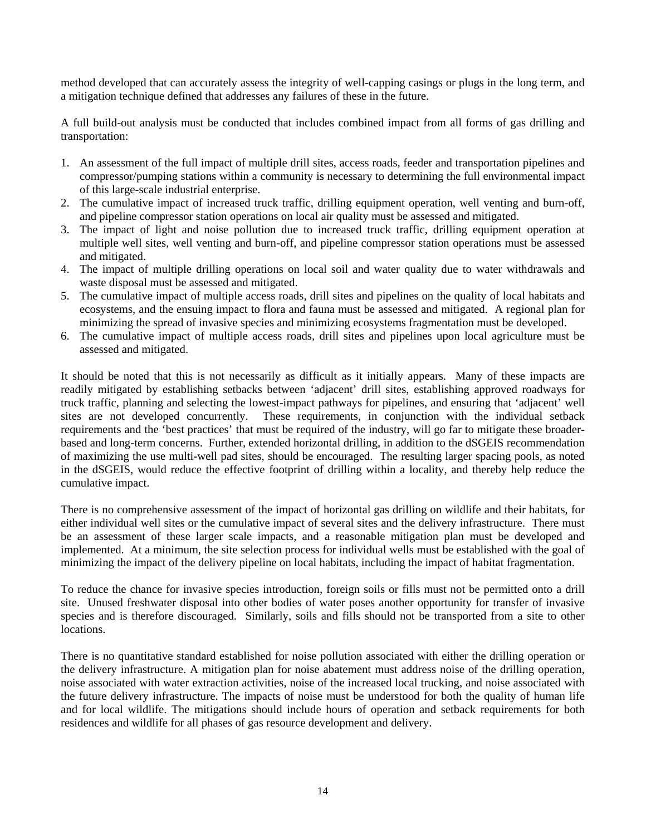method developed that can accurately assess the integrity of well-capping casings or plugs in the long term, and a mitigation technique defined that addresses any failures of these in the future.

A full build-out analysis must be conducted that includes combined impact from all forms of gas drilling and transportation:

- 1. An assessment of the full impact of multiple drill sites, access roads, feeder and transportation pipelines and compressor/pumping stations within a community is necessary to determining the full environmental impact of this large-scale industrial enterprise.
- 2. The cumulative impact of increased truck traffic, drilling equipment operation, well venting and burn-off, and pipeline compressor station operations on local air quality must be assessed and mitigated.
- 3. The impact of light and noise pollution due to increased truck traffic, drilling equipment operation at multiple well sites, well venting and burn-off, and pipeline compressor station operations must be assessed and mitigated.
- 4. The impact of multiple drilling operations on local soil and water quality due to water withdrawals and waste disposal must be assessed and mitigated.
- 5. The cumulative impact of multiple access roads, drill sites and pipelines on the quality of local habitats and ecosystems, and the ensuing impact to flora and fauna must be assessed and mitigated. A regional plan for minimizing the spread of invasive species and minimizing ecosystems fragmentation must be developed.
- 6. The cumulative impact of multiple access roads, drill sites and pipelines upon local agriculture must be assessed and mitigated.

It should be noted that this is not necessarily as difficult as it initially appears. Many of these impacts are readily mitigated by establishing setbacks between 'adjacent' drill sites, establishing approved roadways for truck traffic, planning and selecting the lowest-impact pathways for pipelines, and ensuring that 'adjacent' well sites are not developed concurrently. These requirements, in conjunction with the individual setback requirements and the 'best practices' that must be required of the industry, will go far to mitigate these broaderbased and long-term concerns. Further, extended horizontal drilling, in addition to the dSGEIS recommendation of maximizing the use multi-well pad sites, should be encouraged. The resulting larger spacing pools, as noted in the dSGEIS, would reduce the effective footprint of drilling within a locality, and thereby help reduce the cumulative impact.

There is no comprehensive assessment of the impact of horizontal gas drilling on wildlife and their habitats, for either individual well sites or the cumulative impact of several sites and the delivery infrastructure. There must be an assessment of these larger scale impacts, and a reasonable mitigation plan must be developed and implemented. At a minimum, the site selection process for individual wells must be established with the goal of minimizing the impact of the delivery pipeline on local habitats, including the impact of habitat fragmentation.

To reduce the chance for invasive species introduction, foreign soils or fills must not be permitted onto a drill site. Unused freshwater disposal into other bodies of water poses another opportunity for transfer of invasive species and is therefore discouraged. Similarly, soils and fills should not be transported from a site to other locations.

There is no quantitative standard established for noise pollution associated with either the drilling operation or the delivery infrastructure. A mitigation plan for noise abatement must address noise of the drilling operation, noise associated with water extraction activities, noise of the increased local trucking, and noise associated with the future delivery infrastructure. The impacts of noise must be understood for both the quality of human life and for local wildlife. The mitigations should include hours of operation and setback requirements for both residences and wildlife for all phases of gas resource development and delivery.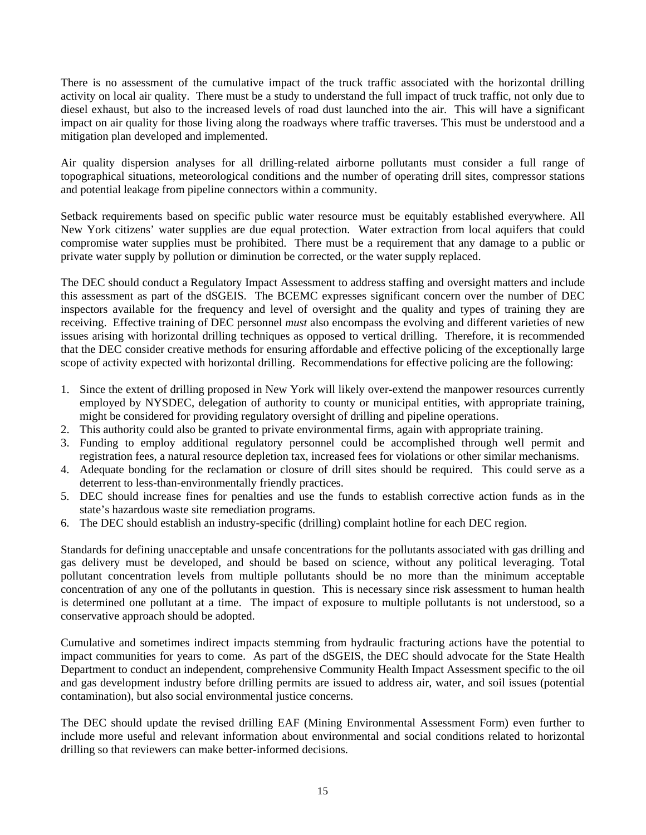There is no assessment of the cumulative impact of the truck traffic associated with the horizontal drilling activity on local air quality. There must be a study to understand the full impact of truck traffic, not only due to diesel exhaust, but also to the increased levels of road dust launched into the air. This will have a significant impact on air quality for those living along the roadways where traffic traverses. This must be understood and a mitigation plan developed and implemented.

Air quality dispersion analyses for all drilling-related airborne pollutants must consider a full range of topographical situations, meteorological conditions and the number of operating drill sites, compressor stations and potential leakage from pipeline connectors within a community.

Setback requirements based on specific public water resource must be equitably established everywhere. All New York citizens' water supplies are due equal protection. Water extraction from local aquifers that could compromise water supplies must be prohibited. There must be a requirement that any damage to a public or private water supply by pollution or diminution be corrected, or the water supply replaced.

The DEC should conduct a Regulatory Impact Assessment to address staffing and oversight matters and include this assessment as part of the dSGEIS. The BCEMC expresses significant concern over the number of DEC inspectors available for the frequency and level of oversight and the quality and types of training they are receiving. Effective training of DEC personnel *must* also encompass the evolving and different varieties of new issues arising with horizontal drilling techniques as opposed to vertical drilling. Therefore, it is recommended that the DEC consider creative methods for ensuring affordable and effective policing of the exceptionally large scope of activity expected with horizontal drilling. Recommendations for effective policing are the following:

- 1. Since the extent of drilling proposed in New York will likely over-extend the manpower resources currently employed by NYSDEC, delegation of authority to county or municipal entities, with appropriate training, might be considered for providing regulatory oversight of drilling and pipeline operations.
- 2. This authority could also be granted to private environmental firms, again with appropriate training.
- 3. Funding to employ additional regulatory personnel could be accomplished through well permit and registration fees, a natural resource depletion tax, increased fees for violations or other similar mechanisms.
- 4. Adequate bonding for the reclamation or closure of drill sites should be required. This could serve as a deterrent to less-than-environmentally friendly practices.
- 5. DEC should increase fines for penalties and use the funds to establish corrective action funds as in the state's hazardous waste site remediation programs.
- 6. The DEC should establish an industry-specific (drilling) complaint hotline for each DEC region.

Standards for defining unacceptable and unsafe concentrations for the pollutants associated with gas drilling and gas delivery must be developed, and should be based on science, without any political leveraging. Total pollutant concentration levels from multiple pollutants should be no more than the minimum acceptable concentration of any one of the pollutants in question. This is necessary since risk assessment to human health is determined one pollutant at a time. The impact of exposure to multiple pollutants is not understood, so a conservative approach should be adopted.

Cumulative and sometimes indirect impacts stemming from hydraulic fracturing actions have the potential to impact communities for years to come. As part of the dSGEIS, the DEC should advocate for the State Health Department to conduct an independent, comprehensive Community Health Impact Assessment specific to the oil and gas development industry before drilling permits are issued to address air, water, and soil issues (potential contamination), but also social environmental justice concerns.

The DEC should update the revised drilling EAF (Mining Environmental Assessment Form) even further to include more useful and relevant information about environmental and social conditions related to horizontal drilling so that reviewers can make better-informed decisions.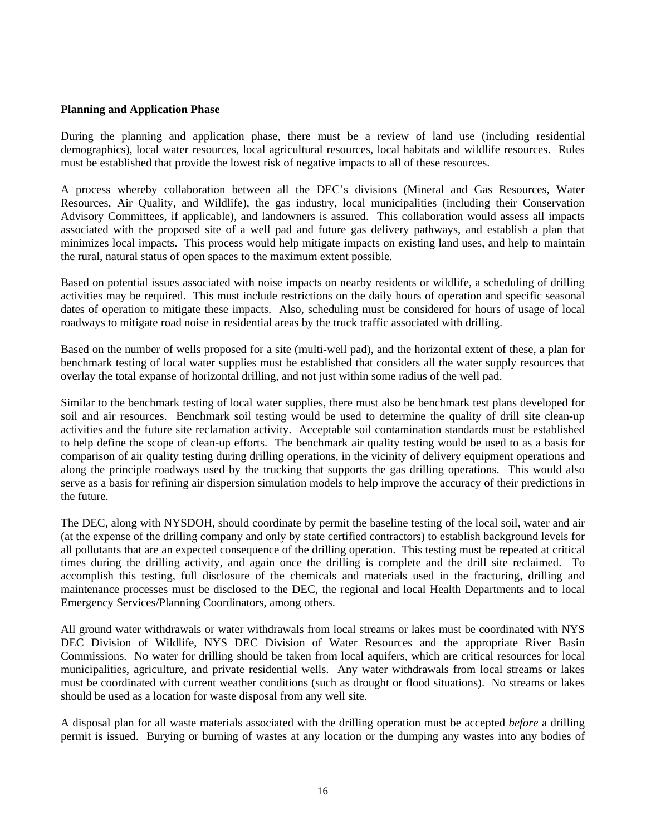#### **Planning and Application Phase**

During the planning and application phase, there must be a review of land use (including residential demographics), local water resources, local agricultural resources, local habitats and wildlife resources. Rules must be established that provide the lowest risk of negative impacts to all of these resources.

A process whereby collaboration between all the DEC's divisions (Mineral and Gas Resources, Water Resources, Air Quality, and Wildlife), the gas industry, local municipalities (including their Conservation Advisory Committees, if applicable), and landowners is assured. This collaboration would assess all impacts associated with the proposed site of a well pad and future gas delivery pathways, and establish a plan that minimizes local impacts. This process would help mitigate impacts on existing land uses, and help to maintain the rural, natural status of open spaces to the maximum extent possible.

Based on potential issues associated with noise impacts on nearby residents or wildlife, a scheduling of drilling activities may be required. This must include restrictions on the daily hours of operation and specific seasonal dates of operation to mitigate these impacts. Also, scheduling must be considered for hours of usage of local roadways to mitigate road noise in residential areas by the truck traffic associated with drilling.

Based on the number of wells proposed for a site (multi-well pad), and the horizontal extent of these, a plan for benchmark testing of local water supplies must be established that considers all the water supply resources that overlay the total expanse of horizontal drilling, and not just within some radius of the well pad.

Similar to the benchmark testing of local water supplies, there must also be benchmark test plans developed for soil and air resources. Benchmark soil testing would be used to determine the quality of drill site clean-up activities and the future site reclamation activity. Acceptable soil contamination standards must be established to help define the scope of clean-up efforts. The benchmark air quality testing would be used to as a basis for comparison of air quality testing during drilling operations, in the vicinity of delivery equipment operations and along the principle roadways used by the trucking that supports the gas drilling operations. This would also serve as a basis for refining air dispersion simulation models to help improve the accuracy of their predictions in the future.

The DEC, along with NYSDOH, should coordinate by permit the baseline testing of the local soil, water and air (at the expense of the drilling company and only by state certified contractors) to establish background levels for all pollutants that are an expected consequence of the drilling operation. This testing must be repeated at critical times during the drilling activity, and again once the drilling is complete and the drill site reclaimed. To accomplish this testing, full disclosure of the chemicals and materials used in the fracturing, drilling and maintenance processes must be disclosed to the DEC, the regional and local Health Departments and to local Emergency Services/Planning Coordinators, among others.

All ground water withdrawals or water withdrawals from local streams or lakes must be coordinated with NYS DEC Division of Wildlife, NYS DEC Division of Water Resources and the appropriate River Basin Commissions. No water for drilling should be taken from local aquifers, which are critical resources for local municipalities, agriculture, and private residential wells. Any water withdrawals from local streams or lakes must be coordinated with current weather conditions (such as drought or flood situations). No streams or lakes should be used as a location for waste disposal from any well site.

A disposal plan for all waste materials associated with the drilling operation must be accepted *before* a drilling permit is issued. Burying or burning of wastes at any location or the dumping any wastes into any bodies of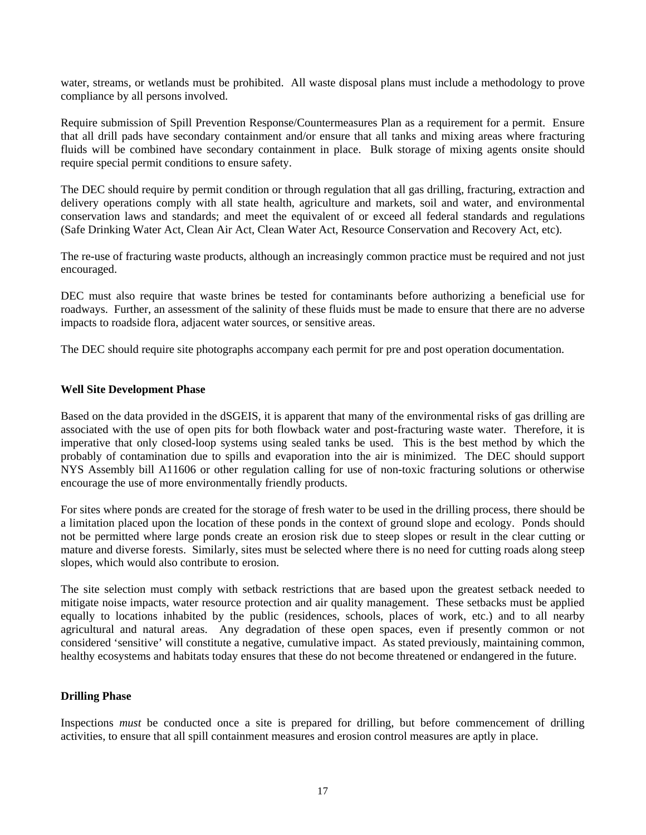water, streams, or wetlands must be prohibited. All waste disposal plans must include a methodology to prove compliance by all persons involved.

Require submission of Spill Prevention Response/Countermeasures Plan as a requirement for a permit. Ensure that all drill pads have secondary containment and/or ensure that all tanks and mixing areas where fracturing fluids will be combined have secondary containment in place. Bulk storage of mixing agents onsite should require special permit conditions to ensure safety.

The DEC should require by permit condition or through regulation that all gas drilling, fracturing, extraction and delivery operations comply with all state health, agriculture and markets, soil and water, and environmental conservation laws and standards; and meet the equivalent of or exceed all federal standards and regulations (Safe Drinking Water Act, Clean Air Act, Clean Water Act, Resource Conservation and Recovery Act, etc).

The re-use of fracturing waste products, although an increasingly common practice must be required and not just encouraged.

DEC must also require that waste brines be tested for contaminants before authorizing a beneficial use for roadways. Further, an assessment of the salinity of these fluids must be made to ensure that there are no adverse impacts to roadside flora, adjacent water sources, or sensitive areas.

The DEC should require site photographs accompany each permit for pre and post operation documentation.

#### **Well Site Development Phase**

Based on the data provided in the dSGEIS, it is apparent that many of the environmental risks of gas drilling are associated with the use of open pits for both flowback water and post-fracturing waste water. Therefore, it is imperative that only closed-loop systems using sealed tanks be used. This is the best method by which the probably of contamination due to spills and evaporation into the air is minimized. The DEC should support NYS Assembly bill A11606 or other regulation calling for use of non-toxic fracturing solutions or otherwise encourage the use of more environmentally friendly products.

For sites where ponds are created for the storage of fresh water to be used in the drilling process, there should be a limitation placed upon the location of these ponds in the context of ground slope and ecology. Ponds should not be permitted where large ponds create an erosion risk due to steep slopes or result in the clear cutting or mature and diverse forests. Similarly, sites must be selected where there is no need for cutting roads along steep slopes, which would also contribute to erosion.

The site selection must comply with setback restrictions that are based upon the greatest setback needed to mitigate noise impacts, water resource protection and air quality management. These setbacks must be applied equally to locations inhabited by the public (residences, schools, places of work, etc.) and to all nearby agricultural and natural areas. Any degradation of these open spaces, even if presently common or not considered 'sensitive' will constitute a negative, cumulative impact. As stated previously, maintaining common, healthy ecosystems and habitats today ensures that these do not become threatened or endangered in the future.

## **Drilling Phase**

Inspections *must* be conducted once a site is prepared for drilling, but before commencement of drilling activities, to ensure that all spill containment measures and erosion control measures are aptly in place.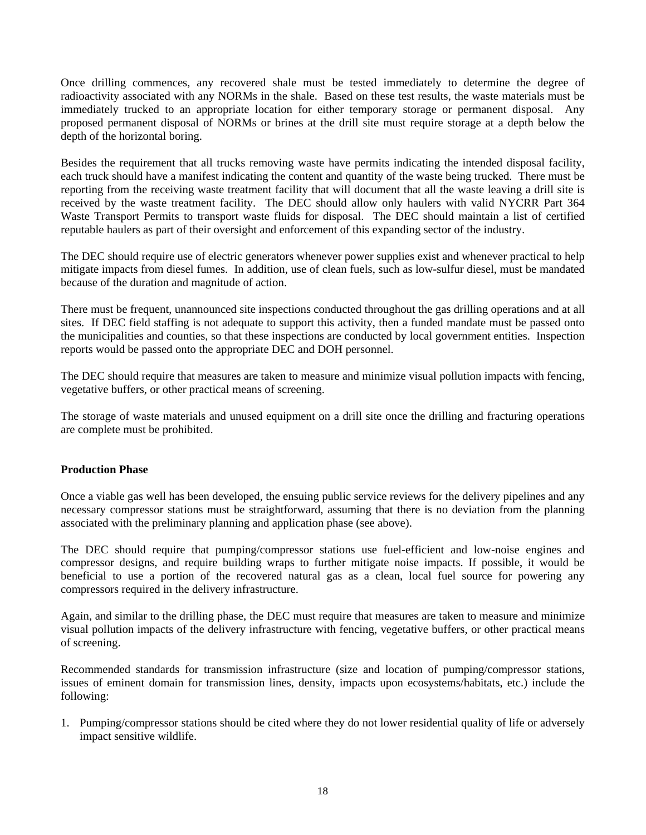Once drilling commences, any recovered shale must be tested immediately to determine the degree of radioactivity associated with any NORMs in the shale. Based on these test results, the waste materials must be immediately trucked to an appropriate location for either temporary storage or permanent disposal. Any proposed permanent disposal of NORMs or brines at the drill site must require storage at a depth below the depth of the horizontal boring.

Besides the requirement that all trucks removing waste have permits indicating the intended disposal facility, each truck should have a manifest indicating the content and quantity of the waste being trucked. There must be reporting from the receiving waste treatment facility that will document that all the waste leaving a drill site is received by the waste treatment facility. The DEC should allow only haulers with valid NYCRR Part 364 Waste Transport Permits to transport waste fluids for disposal. The DEC should maintain a list of certified reputable haulers as part of their oversight and enforcement of this expanding sector of the industry.

The DEC should require use of electric generators whenever power supplies exist and whenever practical to help mitigate impacts from diesel fumes. In addition, use of clean fuels, such as low-sulfur diesel, must be mandated because of the duration and magnitude of action.

There must be frequent, unannounced site inspections conducted throughout the gas drilling operations and at all sites. If DEC field staffing is not adequate to support this activity, then a funded mandate must be passed onto the municipalities and counties, so that these inspections are conducted by local government entities. Inspection reports would be passed onto the appropriate DEC and DOH personnel.

The DEC should require that measures are taken to measure and minimize visual pollution impacts with fencing, vegetative buffers, or other practical means of screening.

The storage of waste materials and unused equipment on a drill site once the drilling and fracturing operations are complete must be prohibited.

## **Production Phase**

Once a viable gas well has been developed, the ensuing public service reviews for the delivery pipelines and any necessary compressor stations must be straightforward, assuming that there is no deviation from the planning associated with the preliminary planning and application phase (see above).

The DEC should require that pumping/compressor stations use fuel-efficient and low-noise engines and compressor designs, and require building wraps to further mitigate noise impacts. If possible, it would be beneficial to use a portion of the recovered natural gas as a clean, local fuel source for powering any compressors required in the delivery infrastructure.

Again, and similar to the drilling phase, the DEC must require that measures are taken to measure and minimize visual pollution impacts of the delivery infrastructure with fencing, vegetative buffers, or other practical means of screening.

Recommended standards for transmission infrastructure (size and location of pumping/compressor stations, issues of eminent domain for transmission lines, density, impacts upon ecosystems/habitats, etc.) include the following:

1. Pumping/compressor stations should be cited where they do not lower residential quality of life or adversely impact sensitive wildlife.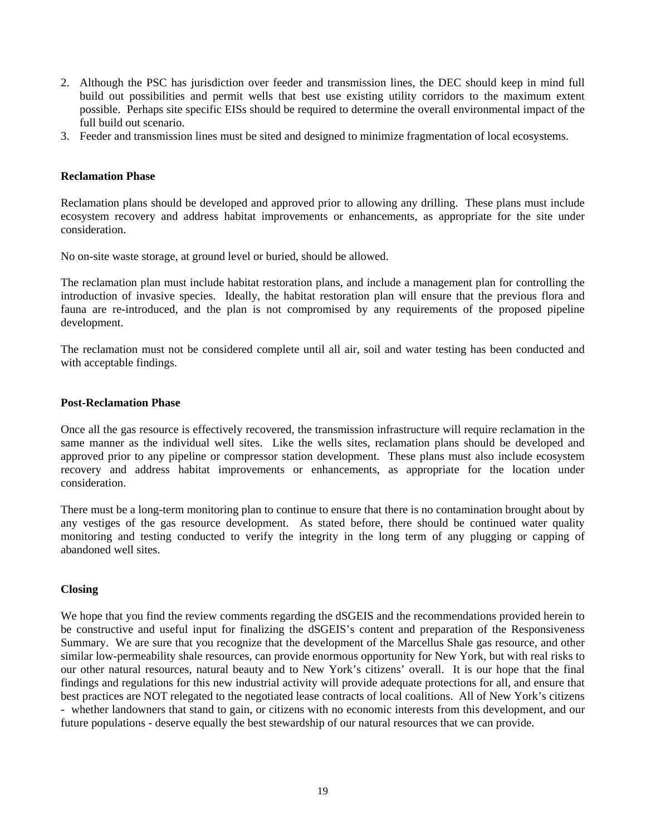- 2. Although the PSC has jurisdiction over feeder and transmission lines, the DEC should keep in mind full build out possibilities and permit wells that best use existing utility corridors to the maximum extent possible. Perhaps site specific EISs should be required to determine the overall environmental impact of the full build out scenario.
- 3. Feeder and transmission lines must be sited and designed to minimize fragmentation of local ecosystems.

#### **Reclamation Phase**

Reclamation plans should be developed and approved prior to allowing any drilling. These plans must include ecosystem recovery and address habitat improvements or enhancements, as appropriate for the site under consideration.

No on-site waste storage, at ground level or buried, should be allowed.

The reclamation plan must include habitat restoration plans, and include a management plan for controlling the introduction of invasive species. Ideally, the habitat restoration plan will ensure that the previous flora and fauna are re-introduced, and the plan is not compromised by any requirements of the proposed pipeline development.

The reclamation must not be considered complete until all air, soil and water testing has been conducted and with acceptable findings.

#### **Post-Reclamation Phase**

Once all the gas resource is effectively recovered, the transmission infrastructure will require reclamation in the same manner as the individual well sites. Like the wells sites, reclamation plans should be developed and approved prior to any pipeline or compressor station development. These plans must also include ecosystem recovery and address habitat improvements or enhancements, as appropriate for the location under consideration.

There must be a long-term monitoring plan to continue to ensure that there is no contamination brought about by any vestiges of the gas resource development. As stated before, there should be continued water quality monitoring and testing conducted to verify the integrity in the long term of any plugging or capping of abandoned well sites.

## **Closing**

We hope that you find the review comments regarding the dSGEIS and the recommendations provided herein to be constructive and useful input for finalizing the dSGEIS's content and preparation of the Responsiveness Summary. We are sure that you recognize that the development of the Marcellus Shale gas resource, and other similar low-permeability shale resources, can provide enormous opportunity for New York, but with real risks to our other natural resources, natural beauty and to New York's citizens' overall. It is our hope that the final findings and regulations for this new industrial activity will provide adequate protections for all, and ensure that best practices are NOT relegated to the negotiated lease contracts of local coalitions. All of New York's citizens - whether landowners that stand to gain, or citizens with no economic interests from this development, and our future populations - deserve equally the best stewardship of our natural resources that we can provide.